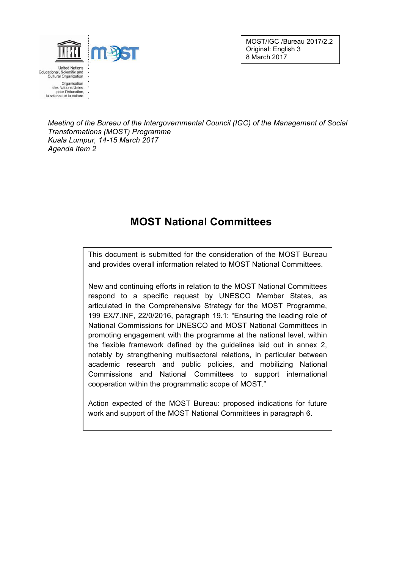

MOST/IGC /Bureau 2017/2.2 Original: English 3 8 March 2017

*Meeting of the Bureau of the Intergovernmental Council (IGC) of the Management of Social Transformations (MOST) Programme Kuala Lumpur, 14-15 March 2017 Agenda Item 2*

## **MOST National Committees**

This document is submitted for the consideration of the MOST Bureau and provides overall information related to MOST National Committees.

New and continuing efforts in relation to the MOST National Committees respond to a specific request by UNESCO Member States, as articulated in the Comprehensive Strategy for the MOST Programme, 199 EX/7.INF, 22/0/2016, paragraph 19.1: "Ensuring the leading role of National Commissions for UNESCO and MOST National Committees in promoting engagement with the programme at the national level, within the flexible framework defined by the guidelines laid out in annex 2, notably by strengthening multisectoral relations, in particular between academic research and public policies, and mobilizing National Commissions and National Committees to support international cooperation within the programmatic scope of MOST."

Action expected of the MOST Bureau: proposed indications for future work and support of the MOST National Committees in paragraph 6.